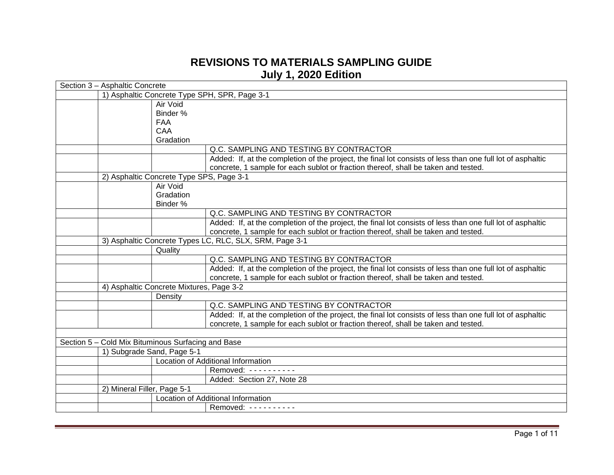## **REVISIONS TO MATERIALS SAMPLING GUIDE July 1, 2020 Edition**

| 1) Asphaltic Concrete Type SPH, SPR, Page 3-1<br>Air Void<br>Binder %<br><b>FAA</b><br>CAA<br>Gradation<br>Q.C. SAMPLING AND TESTING BY CONTRACTOR<br>Added: If, at the completion of the project, the final lot consists of less than one full lot of asphaltic<br>concrete, 1 sample for each sublot or fraction thereof, shall be taken and tested.<br>2) Asphaltic Concrete Type SPS, Page 3-1<br>Air Void<br>Gradation<br>Binder %<br>Q.C. SAMPLING AND TESTING BY CONTRACTOR<br>Added: If, at the completion of the project, the final lot consists of less than one full lot of asphaltic<br>concrete, 1 sample for each sublot or fraction thereof, shall be taken and tested.<br>3) Asphaltic Concrete Types LC, RLC, SLX, SRM, Page 3-1<br>Quality<br>Q.C. SAMPLING AND TESTING BY CONTRACTOR<br>Added: If, at the completion of the project, the final lot consists of less than one full lot of asphaltic<br>concrete, 1 sample for each sublot or fraction thereof, shall be taken and tested.<br>4) Asphaltic Concrete Mixtures, Page 3-2<br>Density<br>Q.C. SAMPLING AND TESTING BY CONTRACTOR<br>Added: If, at the completion of the project, the final lot consists of less than one full lot of asphaltic<br>concrete, 1 sample for each sublot or fraction thereof, shall be taken and tested.<br>Section 5 - Cold Mix Bituminous Surfacing and Base<br>1) Subgrade Sand, Page 5-1<br>Location of Additional Information<br>Removed: ----------<br>Added: Section 27, Note 28 | Section 3 - Asphaltic Concrete |  |  |  |  |
|--------------------------------------------------------------------------------------------------------------------------------------------------------------------------------------------------------------------------------------------------------------------------------------------------------------------------------------------------------------------------------------------------------------------------------------------------------------------------------------------------------------------------------------------------------------------------------------------------------------------------------------------------------------------------------------------------------------------------------------------------------------------------------------------------------------------------------------------------------------------------------------------------------------------------------------------------------------------------------------------------------------------------------------------------------------------------------------------------------------------------------------------------------------------------------------------------------------------------------------------------------------------------------------------------------------------------------------------------------------------------------------------------------------------------------------------------------------------------------------------------|--------------------------------|--|--|--|--|
|                                                                                                                                                                                                                                                                                                                                                                                                                                                                                                                                                                                                                                                                                                                                                                                                                                                                                                                                                                                                                                                                                                                                                                                                                                                                                                                                                                                                                                                                                                  |                                |  |  |  |  |
|                                                                                                                                                                                                                                                                                                                                                                                                                                                                                                                                                                                                                                                                                                                                                                                                                                                                                                                                                                                                                                                                                                                                                                                                                                                                                                                                                                                                                                                                                                  |                                |  |  |  |  |
|                                                                                                                                                                                                                                                                                                                                                                                                                                                                                                                                                                                                                                                                                                                                                                                                                                                                                                                                                                                                                                                                                                                                                                                                                                                                                                                                                                                                                                                                                                  |                                |  |  |  |  |
|                                                                                                                                                                                                                                                                                                                                                                                                                                                                                                                                                                                                                                                                                                                                                                                                                                                                                                                                                                                                                                                                                                                                                                                                                                                                                                                                                                                                                                                                                                  |                                |  |  |  |  |
|                                                                                                                                                                                                                                                                                                                                                                                                                                                                                                                                                                                                                                                                                                                                                                                                                                                                                                                                                                                                                                                                                                                                                                                                                                                                                                                                                                                                                                                                                                  |                                |  |  |  |  |
|                                                                                                                                                                                                                                                                                                                                                                                                                                                                                                                                                                                                                                                                                                                                                                                                                                                                                                                                                                                                                                                                                                                                                                                                                                                                                                                                                                                                                                                                                                  |                                |  |  |  |  |
|                                                                                                                                                                                                                                                                                                                                                                                                                                                                                                                                                                                                                                                                                                                                                                                                                                                                                                                                                                                                                                                                                                                                                                                                                                                                                                                                                                                                                                                                                                  |                                |  |  |  |  |
|                                                                                                                                                                                                                                                                                                                                                                                                                                                                                                                                                                                                                                                                                                                                                                                                                                                                                                                                                                                                                                                                                                                                                                                                                                                                                                                                                                                                                                                                                                  |                                |  |  |  |  |
|                                                                                                                                                                                                                                                                                                                                                                                                                                                                                                                                                                                                                                                                                                                                                                                                                                                                                                                                                                                                                                                                                                                                                                                                                                                                                                                                                                                                                                                                                                  |                                |  |  |  |  |
|                                                                                                                                                                                                                                                                                                                                                                                                                                                                                                                                                                                                                                                                                                                                                                                                                                                                                                                                                                                                                                                                                                                                                                                                                                                                                                                                                                                                                                                                                                  |                                |  |  |  |  |
|                                                                                                                                                                                                                                                                                                                                                                                                                                                                                                                                                                                                                                                                                                                                                                                                                                                                                                                                                                                                                                                                                                                                                                                                                                                                                                                                                                                                                                                                                                  |                                |  |  |  |  |
|                                                                                                                                                                                                                                                                                                                                                                                                                                                                                                                                                                                                                                                                                                                                                                                                                                                                                                                                                                                                                                                                                                                                                                                                                                                                                                                                                                                                                                                                                                  |                                |  |  |  |  |
|                                                                                                                                                                                                                                                                                                                                                                                                                                                                                                                                                                                                                                                                                                                                                                                                                                                                                                                                                                                                                                                                                                                                                                                                                                                                                                                                                                                                                                                                                                  |                                |  |  |  |  |
|                                                                                                                                                                                                                                                                                                                                                                                                                                                                                                                                                                                                                                                                                                                                                                                                                                                                                                                                                                                                                                                                                                                                                                                                                                                                                                                                                                                                                                                                                                  |                                |  |  |  |  |
|                                                                                                                                                                                                                                                                                                                                                                                                                                                                                                                                                                                                                                                                                                                                                                                                                                                                                                                                                                                                                                                                                                                                                                                                                                                                                                                                                                                                                                                                                                  |                                |  |  |  |  |
|                                                                                                                                                                                                                                                                                                                                                                                                                                                                                                                                                                                                                                                                                                                                                                                                                                                                                                                                                                                                                                                                                                                                                                                                                                                                                                                                                                                                                                                                                                  |                                |  |  |  |  |
|                                                                                                                                                                                                                                                                                                                                                                                                                                                                                                                                                                                                                                                                                                                                                                                                                                                                                                                                                                                                                                                                                                                                                                                                                                                                                                                                                                                                                                                                                                  |                                |  |  |  |  |
|                                                                                                                                                                                                                                                                                                                                                                                                                                                                                                                                                                                                                                                                                                                                                                                                                                                                                                                                                                                                                                                                                                                                                                                                                                                                                                                                                                                                                                                                                                  |                                |  |  |  |  |
|                                                                                                                                                                                                                                                                                                                                                                                                                                                                                                                                                                                                                                                                                                                                                                                                                                                                                                                                                                                                                                                                                                                                                                                                                                                                                                                                                                                                                                                                                                  |                                |  |  |  |  |
|                                                                                                                                                                                                                                                                                                                                                                                                                                                                                                                                                                                                                                                                                                                                                                                                                                                                                                                                                                                                                                                                                                                                                                                                                                                                                                                                                                                                                                                                                                  |                                |  |  |  |  |
|                                                                                                                                                                                                                                                                                                                                                                                                                                                                                                                                                                                                                                                                                                                                                                                                                                                                                                                                                                                                                                                                                                                                                                                                                                                                                                                                                                                                                                                                                                  |                                |  |  |  |  |
|                                                                                                                                                                                                                                                                                                                                                                                                                                                                                                                                                                                                                                                                                                                                                                                                                                                                                                                                                                                                                                                                                                                                                                                                                                                                                                                                                                                                                                                                                                  |                                |  |  |  |  |
|                                                                                                                                                                                                                                                                                                                                                                                                                                                                                                                                                                                                                                                                                                                                                                                                                                                                                                                                                                                                                                                                                                                                                                                                                                                                                                                                                                                                                                                                                                  |                                |  |  |  |  |
|                                                                                                                                                                                                                                                                                                                                                                                                                                                                                                                                                                                                                                                                                                                                                                                                                                                                                                                                                                                                                                                                                                                                                                                                                                                                                                                                                                                                                                                                                                  |                                |  |  |  |  |
|                                                                                                                                                                                                                                                                                                                                                                                                                                                                                                                                                                                                                                                                                                                                                                                                                                                                                                                                                                                                                                                                                                                                                                                                                                                                                                                                                                                                                                                                                                  |                                |  |  |  |  |
|                                                                                                                                                                                                                                                                                                                                                                                                                                                                                                                                                                                                                                                                                                                                                                                                                                                                                                                                                                                                                                                                                                                                                                                                                                                                                                                                                                                                                                                                                                  |                                |  |  |  |  |
|                                                                                                                                                                                                                                                                                                                                                                                                                                                                                                                                                                                                                                                                                                                                                                                                                                                                                                                                                                                                                                                                                                                                                                                                                                                                                                                                                                                                                                                                                                  |                                |  |  |  |  |
|                                                                                                                                                                                                                                                                                                                                                                                                                                                                                                                                                                                                                                                                                                                                                                                                                                                                                                                                                                                                                                                                                                                                                                                                                                                                                                                                                                                                                                                                                                  |                                |  |  |  |  |
|                                                                                                                                                                                                                                                                                                                                                                                                                                                                                                                                                                                                                                                                                                                                                                                                                                                                                                                                                                                                                                                                                                                                                                                                                                                                                                                                                                                                                                                                                                  |                                |  |  |  |  |
|                                                                                                                                                                                                                                                                                                                                                                                                                                                                                                                                                                                                                                                                                                                                                                                                                                                                                                                                                                                                                                                                                                                                                                                                                                                                                                                                                                                                                                                                                                  |                                |  |  |  |  |
|                                                                                                                                                                                                                                                                                                                                                                                                                                                                                                                                                                                                                                                                                                                                                                                                                                                                                                                                                                                                                                                                                                                                                                                                                                                                                                                                                                                                                                                                                                  |                                |  |  |  |  |
|                                                                                                                                                                                                                                                                                                                                                                                                                                                                                                                                                                                                                                                                                                                                                                                                                                                                                                                                                                                                                                                                                                                                                                                                                                                                                                                                                                                                                                                                                                  |                                |  |  |  |  |
| 2) Mineral Filler, Page 5-1                                                                                                                                                                                                                                                                                                                                                                                                                                                                                                                                                                                                                                                                                                                                                                                                                                                                                                                                                                                                                                                                                                                                                                                                                                                                                                                                                                                                                                                                      |                                |  |  |  |  |
| Location of Additional Information                                                                                                                                                                                                                                                                                                                                                                                                                                                                                                                                                                                                                                                                                                                                                                                                                                                                                                                                                                                                                                                                                                                                                                                                                                                                                                                                                                                                                                                               |                                |  |  |  |  |
| Removed: ---------                                                                                                                                                                                                                                                                                                                                                                                                                                                                                                                                                                                                                                                                                                                                                                                                                                                                                                                                                                                                                                                                                                                                                                                                                                                                                                                                                                                                                                                                               |                                |  |  |  |  |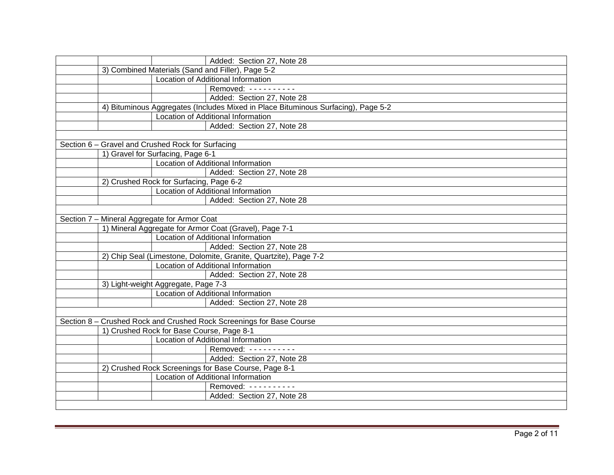| Added: Section 27, Note 28                                                        |  |  |
|-----------------------------------------------------------------------------------|--|--|
| 3) Combined Materials (Sand and Filler), Page 5-2                                 |  |  |
| Location of Additional Information                                                |  |  |
| Removed: ----------                                                               |  |  |
| Added: Section 27, Note 28                                                        |  |  |
| 4) Bituminous Aggregates (Includes Mixed in Place Bituminous Surfacing), Page 5-2 |  |  |
| Location of Additional Information                                                |  |  |
| Added: Section 27, Note 28                                                        |  |  |
|                                                                                   |  |  |
| Section 6 - Gravel and Crushed Rock for Surfacing                                 |  |  |
| 1) Gravel for Surfacing, Page 6-1                                                 |  |  |
| Location of Additional Information                                                |  |  |
| Added: Section 27, Note 28                                                        |  |  |
| 2) Crushed Rock for Surfacing, Page 6-2                                           |  |  |
| Location of Additional Information                                                |  |  |
| Added: Section 27, Note 28                                                        |  |  |
|                                                                                   |  |  |
| Section 7 - Mineral Aggregate for Armor Coat                                      |  |  |
| 1) Mineral Aggregate for Armor Coat (Gravel), Page 7-1                            |  |  |
| Location of Additional Information                                                |  |  |
| Added: Section 27, Note 28                                                        |  |  |
| 2) Chip Seal (Limestone, Dolomite, Granite, Quartzite), Page 7-2                  |  |  |
| Location of Additional Information                                                |  |  |
| Added: Section 27, Note 28                                                        |  |  |
| 3) Light-weight Aggregate, Page 7-3                                               |  |  |
| <b>Location of Additional Information</b>                                         |  |  |
| Added: Section 27, Note 28                                                        |  |  |
|                                                                                   |  |  |
| Section 8 - Crushed Rock and Crushed Rock Screenings for Base Course              |  |  |
| 1) Crushed Rock for Base Course, Page 8-1                                         |  |  |
| Location of Additional Information                                                |  |  |
| Removed: ----------                                                               |  |  |
| Added: Section 27, Note 28                                                        |  |  |
| 2) Crushed Rock Screenings for Base Course, Page 8-1                              |  |  |
| Location of Additional Information                                                |  |  |
| Removed: ----------                                                               |  |  |
| Added: Section 27, Note 28                                                        |  |  |
|                                                                                   |  |  |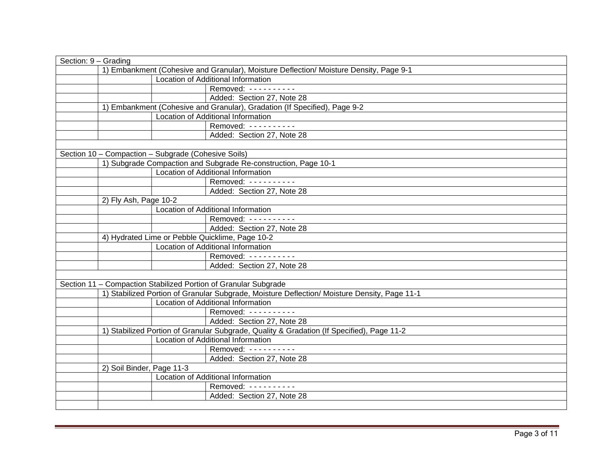| Section: 9 - Grading |                                                                                              |                                                                           |  |
|----------------------|----------------------------------------------------------------------------------------------|---------------------------------------------------------------------------|--|
|                      | 1) Embankment (Cohesive and Granular), Moisture Deflection/ Moisture Density, Page 9-1       |                                                                           |  |
|                      |                                                                                              | Location of Additional Information                                        |  |
|                      |                                                                                              | Removed: ----------                                                       |  |
|                      |                                                                                              | Added: Section 27, Note 28                                                |  |
|                      |                                                                                              | 1) Embankment (Cohesive and Granular), Gradation (If Specified), Page 9-2 |  |
|                      |                                                                                              | Location of Additional Information                                        |  |
|                      |                                                                                              | Removed: ----------                                                       |  |
|                      |                                                                                              | Added: Section 27, Note 28                                                |  |
|                      |                                                                                              |                                                                           |  |
|                      | Section 10 - Compaction - Subgrade (Cohesive Soils)                                          |                                                                           |  |
|                      |                                                                                              | 1) Subgrade Compaction and Subgrade Re-construction, Page 10-1            |  |
|                      |                                                                                              | Location of Additional Information                                        |  |
|                      |                                                                                              | Removed: ----------                                                       |  |
|                      |                                                                                              | Added: Section 27, Note 28                                                |  |
|                      | 2) Fly Ash, Page 10-2                                                                        |                                                                           |  |
|                      |                                                                                              | Location of Additional Information                                        |  |
|                      |                                                                                              | Removed: ----------                                                       |  |
|                      |                                                                                              | Added: Section 27, Note 28                                                |  |
|                      | 4) Hydrated Lime or Pebble Quicklime, Page 10-2                                              |                                                                           |  |
|                      | Location of Additional Information                                                           |                                                                           |  |
|                      |                                                                                              | Removed: ----------                                                       |  |
|                      |                                                                                              | Added: Section 27, Note 28                                                |  |
|                      |                                                                                              |                                                                           |  |
|                      | Section 11 - Compaction Stabilized Portion of Granular Subgrade                              |                                                                           |  |
|                      | 1) Stabilized Portion of Granular Subgrade, Moisture Deflection/ Moisture Density, Page 11-1 |                                                                           |  |
|                      |                                                                                              | Location of Additional Information                                        |  |
|                      |                                                                                              | Removed: ----------                                                       |  |
|                      |                                                                                              | Added: Section 27, Note 28                                                |  |
|                      | 1) Stabilized Portion of Granular Subgrade, Quality & Gradation (If Specified), Page 11-2    |                                                                           |  |
|                      | Location of Additional Information                                                           |                                                                           |  |
|                      |                                                                                              | Removed: ----------                                                       |  |
|                      |                                                                                              | Added: Section 27, Note 28                                                |  |
|                      | 2) Soil Binder, Page 11-3                                                                    |                                                                           |  |
|                      |                                                                                              | Location of Additional Information                                        |  |
|                      |                                                                                              | Removed: ----------                                                       |  |
|                      |                                                                                              | Added: Section 27, Note 28                                                |  |
|                      |                                                                                              |                                                                           |  |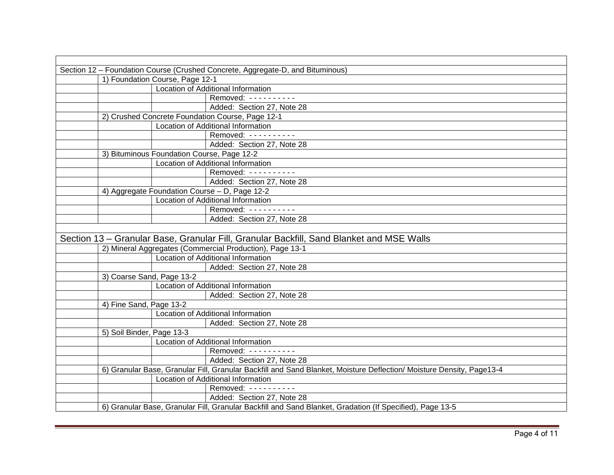| Section 12 - Foundation Course (Crushed Concrete, Aggregate-D, and Bituminous)                                                                                |  |  |  |
|---------------------------------------------------------------------------------------------------------------------------------------------------------------|--|--|--|
| 1) Foundation Course, Page 12-1                                                                                                                               |  |  |  |
| Location of Additional Information                                                                                                                            |  |  |  |
| Removed: ----------                                                                                                                                           |  |  |  |
| Added: Section 27, Note 28                                                                                                                                    |  |  |  |
| 2) Crushed Concrete Foundation Course, Page 12-1                                                                                                              |  |  |  |
| Location of Additional Information                                                                                                                            |  |  |  |
| Removed: ----------                                                                                                                                           |  |  |  |
| Added: Section 27, Note 28                                                                                                                                    |  |  |  |
| 3) Bituminous Foundation Course, Page 12-2                                                                                                                    |  |  |  |
| Location of Additional Information                                                                                                                            |  |  |  |
| Removed: ----------                                                                                                                                           |  |  |  |
| Added: Section 27, Note 28                                                                                                                                    |  |  |  |
| 4) Aggregate Foundation Course - D, Page 12-2                                                                                                                 |  |  |  |
| Location of Additional Information                                                                                                                            |  |  |  |
| Removed: ----------                                                                                                                                           |  |  |  |
| Added: Section 27, Note 28                                                                                                                                    |  |  |  |
|                                                                                                                                                               |  |  |  |
| Section 13 – Granular Base, Granular Fill, Granular Backfill, Sand Blanket and MSE Walls                                                                      |  |  |  |
| 2) Mineral Aggregates (Commercial Production), Page 13-1                                                                                                      |  |  |  |
| Location of Additional Information                                                                                                                            |  |  |  |
| Added: Section 27, Note 28                                                                                                                                    |  |  |  |
| 3) Coarse Sand, Page 13-2                                                                                                                                     |  |  |  |
| Location of Additional Information                                                                                                                            |  |  |  |
| Added: Section 27, Note 28                                                                                                                                    |  |  |  |
| 4) Fine Sand, Page 13-2                                                                                                                                       |  |  |  |
| Location of Additional Information                                                                                                                            |  |  |  |
| Added: Section 27, Note 28                                                                                                                                    |  |  |  |
| 5) Soil Binder, Page 13-3                                                                                                                                     |  |  |  |
| Location of Additional Information                                                                                                                            |  |  |  |
| Removed: ----------                                                                                                                                           |  |  |  |
| Added: Section 27, Note 28                                                                                                                                    |  |  |  |
| 6) Granular Base, Granular Fill, Granular Backfill and Sand Blanket, Moisture Deflection/ Moisture Density, Page13-4                                          |  |  |  |
| Location of Additional Information                                                                                                                            |  |  |  |
|                                                                                                                                                               |  |  |  |
|                                                                                                                                                               |  |  |  |
|                                                                                                                                                               |  |  |  |
| Removed: ----------<br>Added: Section 27, Note 28<br>6) Granular Base, Granular Fill, Granular Backfill and Sand Blanket, Gradation (If Specified), Page 13-5 |  |  |  |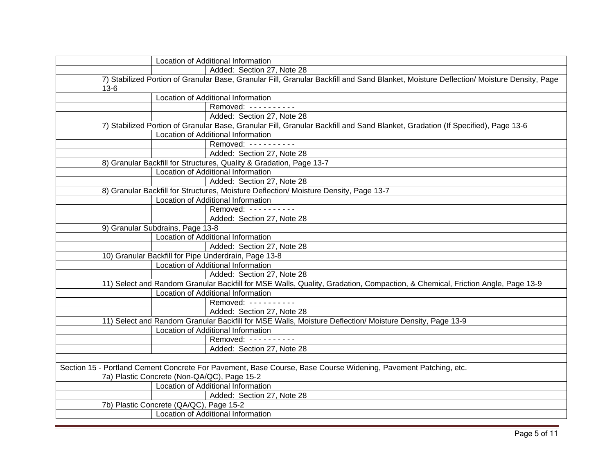| Location of Additional Information                                                                                                    |  |  |
|---------------------------------------------------------------------------------------------------------------------------------------|--|--|
| Added: Section 27, Note 28                                                                                                            |  |  |
| 7) Stabilized Portion of Granular Base, Granular Fill, Granular Backfill and Sand Blanket, Moisture Deflection/Moisture Density, Page |  |  |
| $13 - 6$                                                                                                                              |  |  |
| Location of Additional Information                                                                                                    |  |  |
| Removed: ----------                                                                                                                   |  |  |
| Added: Section 27, Note 28                                                                                                            |  |  |
| 7) Stabilized Portion of Granular Base, Granular Fill, Granular Backfill and Sand Blanket, Gradation (If Specified), Page 13-6        |  |  |
| Location of Additional Information                                                                                                    |  |  |
| Removed: ----------                                                                                                                   |  |  |
| Added: Section 27, Note 28                                                                                                            |  |  |
| 8) Granular Backfill for Structures, Quality & Gradation, Page 13-7                                                                   |  |  |
| Location of Additional Information                                                                                                    |  |  |
| Added: Section 27, Note 28                                                                                                            |  |  |
| 8) Granular Backfill for Structures, Moisture Deflection/ Moisture Density, Page 13-7                                                 |  |  |
| Location of Additional Information                                                                                                    |  |  |
| Removed: ----------                                                                                                                   |  |  |
| Added: Section 27, Note 28                                                                                                            |  |  |
| 9) Granular Subdrains, Page 13-8                                                                                                      |  |  |
| Location of Additional Information                                                                                                    |  |  |
| Added: Section 27, Note 28                                                                                                            |  |  |
| 10) Granular Backfill for Pipe Underdrain, Page 13-8                                                                                  |  |  |
| Location of Additional Information                                                                                                    |  |  |
| Added: Section 27, Note 28                                                                                                            |  |  |
| 11) Select and Random Granular Backfill for MSE Walls, Quality, Gradation, Compaction, & Chemical, Friction Angle, Page 13-9          |  |  |
| Location of Additional Information                                                                                                    |  |  |
| Removed: ----------                                                                                                                   |  |  |
| Added: Section 27, Note 28                                                                                                            |  |  |
| 11) Select and Random Granular Backfill for MSE Walls, Moisture Deflection/ Moisture Density, Page 13-9                               |  |  |
| Location of Additional Information                                                                                                    |  |  |
| Removed: ----------                                                                                                                   |  |  |
| Added: Section 27, Note 28                                                                                                            |  |  |
|                                                                                                                                       |  |  |
| Section 15 - Portland Cement Concrete For Pavement, Base Course, Base Course Widening, Pavement Patching, etc.                        |  |  |
| 7a) Plastic Concrete (Non-QA/QC), Page 15-2                                                                                           |  |  |
| Location of Additional Information                                                                                                    |  |  |
| Added: Section 27, Note 28                                                                                                            |  |  |
| 7b) Plastic Concrete (QA/QC), Page 15-2                                                                                               |  |  |
| Location of Additional Information                                                                                                    |  |  |
|                                                                                                                                       |  |  |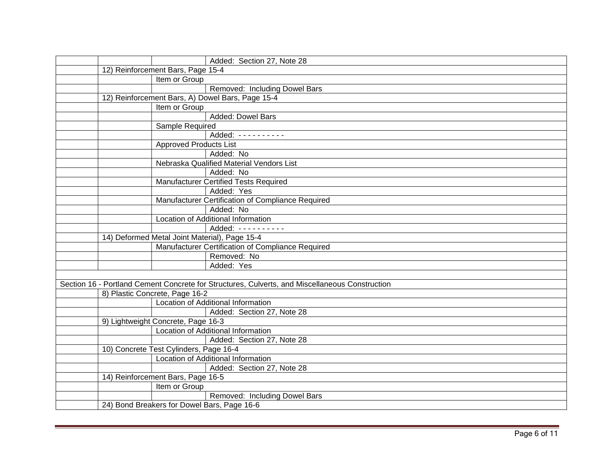|                                                                              |                                   | Added: Section 27, Note 28                                                                     |
|------------------------------------------------------------------------------|-----------------------------------|------------------------------------------------------------------------------------------------|
|                                                                              | 12) Reinforcement Bars, Page 15-4 |                                                                                                |
|                                                                              | Item or Group                     |                                                                                                |
|                                                                              |                                   | Removed: Including Dowel Bars                                                                  |
| 12) Reinforcement Bars, A) Dowel Bars, Page 15-4                             |                                   |                                                                                                |
|                                                                              | Item or Group                     |                                                                                                |
|                                                                              |                                   | Added: Dowel Bars                                                                              |
|                                                                              | Sample Required                   |                                                                                                |
|                                                                              |                                   | Added: ----------                                                                              |
|                                                                              | <b>Approved Products List</b>     |                                                                                                |
|                                                                              |                                   | Added: No                                                                                      |
|                                                                              |                                   | Nebraska Qualified Material Vendors List                                                       |
|                                                                              |                                   | Added: No                                                                                      |
|                                                                              |                                   | <b>Manufacturer Certified Tests Required</b>                                                   |
|                                                                              |                                   | Added: Yes                                                                                     |
|                                                                              |                                   | Manufacturer Certification of Compliance Required                                              |
|                                                                              |                                   | Added: No                                                                                      |
|                                                                              |                                   | Location of Additional Information                                                             |
|                                                                              |                                   | Added: ----------                                                                              |
| 14) Deformed Metal Joint Material), Page 15-4                                |                                   |                                                                                                |
|                                                                              |                                   | Manufacturer Certification of Compliance Required                                              |
|                                                                              |                                   | Removed: No                                                                                    |
|                                                                              |                                   | Added: Yes                                                                                     |
|                                                                              |                                   |                                                                                                |
|                                                                              |                                   | Section 16 - Portland Cement Concrete for Structures, Culverts, and Miscellaneous Construction |
|                                                                              | 8) Plastic Concrete, Page 16-2    |                                                                                                |
|                                                                              |                                   | Location of Additional Information                                                             |
|                                                                              |                                   | Added: Section 27, Note 28                                                                     |
| 9) Lightweight Concrete, Page 16-3<br>Location of Additional Information     |                                   |                                                                                                |
|                                                                              |                                   |                                                                                                |
|                                                                              |                                   | Added: Section 27, Note 28                                                                     |
| 10) Concrete Test Cylinders, Page 16-4<br>Location of Additional Information |                                   |                                                                                                |
|                                                                              |                                   | Added: Section 27, Note 28                                                                     |
|                                                                              |                                   |                                                                                                |
| 14) Reinforcement Bars, Page 16-5<br>Item or Group                           |                                   |                                                                                                |
|                                                                              |                                   | Removed: Including Dowel Bars                                                                  |
|                                                                              |                                   |                                                                                                |
| 24) Bond Breakers for Dowel Bars, Page 16-6                                  |                                   |                                                                                                |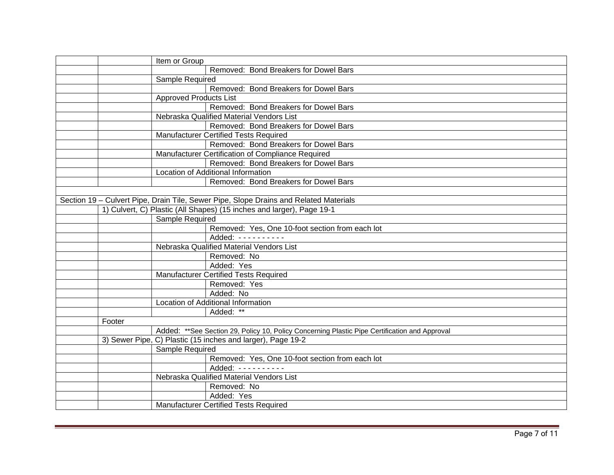|                                                                       | Item or Group                                                                                 |  |  |
|-----------------------------------------------------------------------|-----------------------------------------------------------------------------------------------|--|--|
|                                                                       | Removed: Bond Breakers for Dowel Bars                                                         |  |  |
|                                                                       | Sample Required                                                                               |  |  |
|                                                                       | Removed: Bond Breakers for Dowel Bars                                                         |  |  |
|                                                                       | <b>Approved Products List</b>                                                                 |  |  |
|                                                                       | Removed: Bond Breakers for Dowel Bars                                                         |  |  |
|                                                                       | Nebraska Qualified Material Vendors List                                                      |  |  |
|                                                                       | Removed: Bond Breakers for Dowel Bars                                                         |  |  |
|                                                                       | <b>Manufacturer Certified Tests Required</b>                                                  |  |  |
|                                                                       | Removed: Bond Breakers for Dowel Bars                                                         |  |  |
|                                                                       | Manufacturer Certification of Compliance Required                                             |  |  |
|                                                                       | Removed: Bond Breakers for Dowel Bars                                                         |  |  |
|                                                                       | Location of Additional Information                                                            |  |  |
|                                                                       | Removed: Bond Breakers for Dowel Bars                                                         |  |  |
|                                                                       |                                                                                               |  |  |
|                                                                       | Section 19 - Culvert Pipe, Drain Tile, Sewer Pipe, Slope Drains and Related Materials         |  |  |
| 1) Culvert, C) Plastic (All Shapes) (15 inches and larger), Page 19-1 |                                                                                               |  |  |
|                                                                       | Sample Required                                                                               |  |  |
|                                                                       | Removed: Yes, One 10-foot section from each lot                                               |  |  |
|                                                                       | Added: ----------                                                                             |  |  |
|                                                                       | Nebraska Qualified Material Vendors List                                                      |  |  |
|                                                                       | Removed: No                                                                                   |  |  |
|                                                                       | Added: Yes                                                                                    |  |  |
|                                                                       | <b>Manufacturer Certified Tests Required</b>                                                  |  |  |
|                                                                       | Removed: Yes                                                                                  |  |  |
|                                                                       | Added: No                                                                                     |  |  |
|                                                                       | Location of Additional Information                                                            |  |  |
|                                                                       | Added: **                                                                                     |  |  |
| Footer                                                                |                                                                                               |  |  |
|                                                                       | Added: **See Section 29, Policy 10, Policy Concerning Plastic Pipe Certification and Approval |  |  |
|                                                                       | 3) Sewer Pipe, C) Plastic (15 inches and larger), Page 19-2                                   |  |  |
|                                                                       | Sample Required                                                                               |  |  |
|                                                                       | Removed: Yes, One 10-foot section from each lot                                               |  |  |
|                                                                       | Added: ----------                                                                             |  |  |
|                                                                       | Nebraska Qualified Material Vendors List                                                      |  |  |
|                                                                       | Removed: No                                                                                   |  |  |
|                                                                       | Added: Yes                                                                                    |  |  |
|                                                                       | <b>Manufacturer Certified Tests Required</b>                                                  |  |  |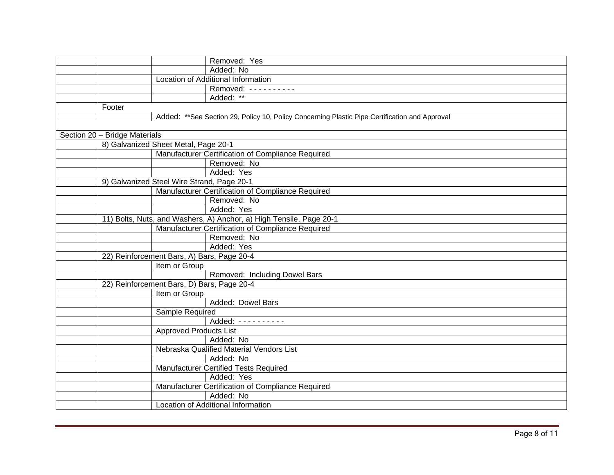|                                                                     |                                            | Removed: Yes                                                                                  |
|---------------------------------------------------------------------|--------------------------------------------|-----------------------------------------------------------------------------------------------|
|                                                                     |                                            | Added: No                                                                                     |
|                                                                     |                                            | Location of Additional Information                                                            |
|                                                                     |                                            | Removed: ----------                                                                           |
|                                                                     |                                            | Added: **                                                                                     |
|                                                                     | Footer                                     |                                                                                               |
|                                                                     |                                            | Added: **See Section 29, Policy 10, Policy Concerning Plastic Pipe Certification and Approval |
|                                                                     |                                            |                                                                                               |
|                                                                     | Section 20 - Bridge Materials              |                                                                                               |
|                                                                     | 8) Galvanized Sheet Metal, Page 20-1       |                                                                                               |
|                                                                     |                                            | Manufacturer Certification of Compliance Required                                             |
|                                                                     |                                            | Removed: No                                                                                   |
|                                                                     |                                            | Added: Yes                                                                                    |
|                                                                     | 9) Galvanized Steel Wire Strand, Page 20-1 |                                                                                               |
|                                                                     |                                            | Manufacturer Certification of Compliance Required                                             |
|                                                                     |                                            | Removed: No                                                                                   |
|                                                                     |                                            | Added: Yes                                                                                    |
| 11) Bolts, Nuts, and Washers, A) Anchor, a) High Tensile, Page 20-1 |                                            |                                                                                               |
|                                                                     |                                            | Manufacturer Certification of Compliance Required                                             |
|                                                                     |                                            | Removed: No                                                                                   |
|                                                                     |                                            | Added: Yes                                                                                    |
|                                                                     | 22) Reinforcement Bars, A) Bars, Page 20-4 |                                                                                               |
|                                                                     | Item or Group                              |                                                                                               |
|                                                                     |                                            | Removed: Including Dowel Bars                                                                 |
|                                                                     | 22) Reinforcement Bars, D) Bars, Page 20-4 |                                                                                               |
|                                                                     | Item or Group                              |                                                                                               |
|                                                                     |                                            | Added: Dowel Bars                                                                             |
|                                                                     | Sample Required                            |                                                                                               |
|                                                                     |                                            | Added: ----------                                                                             |
|                                                                     | <b>Approved Products List</b>              |                                                                                               |
|                                                                     |                                            | Added: No                                                                                     |
|                                                                     |                                            | Nebraska Qualified Material Vendors List                                                      |
|                                                                     |                                            | Added: No                                                                                     |
|                                                                     |                                            | Manufacturer Certified Tests Required                                                         |
|                                                                     |                                            | Added: Yes                                                                                    |
|                                                                     |                                            | Manufacturer Certification of Compliance Required                                             |
|                                                                     |                                            | Added: No                                                                                     |
|                                                                     |                                            | Location of Additional Information                                                            |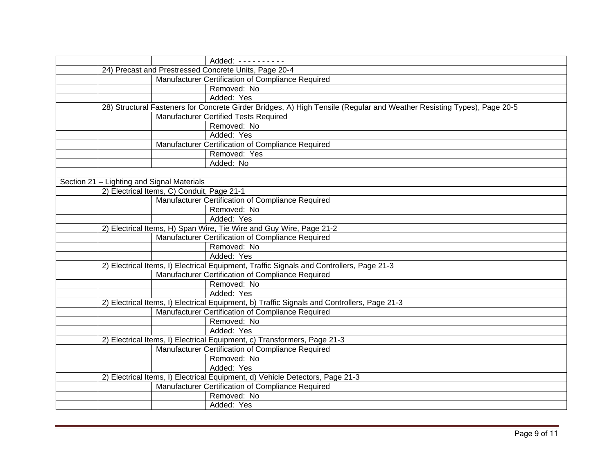|                                            |                                                                                             |                                            | Added: ----------                                                                                                      |
|--------------------------------------------|---------------------------------------------------------------------------------------------|--------------------------------------------|------------------------------------------------------------------------------------------------------------------------|
|                                            | 24) Precast and Prestressed Concrete Units, Page 20-4                                       |                                            |                                                                                                                        |
|                                            |                                                                                             |                                            | Manufacturer Certification of Compliance Required                                                                      |
|                                            |                                                                                             |                                            | Removed: No                                                                                                            |
|                                            |                                                                                             |                                            | Added: Yes                                                                                                             |
|                                            |                                                                                             |                                            | 28) Structural Fasteners for Concrete Girder Bridges, A) High Tensile (Regular and Weather Resisting Types), Page 20-5 |
|                                            |                                                                                             | Manufacturer Certified Tests Required      |                                                                                                                        |
|                                            |                                                                                             |                                            | Removed: No                                                                                                            |
|                                            |                                                                                             |                                            | Added: Yes                                                                                                             |
|                                            |                                                                                             |                                            | Manufacturer Certification of Compliance Required                                                                      |
|                                            |                                                                                             |                                            | Removed: Yes                                                                                                           |
|                                            |                                                                                             |                                            | Added: No                                                                                                              |
|                                            |                                                                                             |                                            |                                                                                                                        |
| Section 21 - Lighting and Signal Materials |                                                                                             |                                            |                                                                                                                        |
|                                            |                                                                                             | 2) Electrical Items, C) Conduit, Page 21-1 |                                                                                                                        |
|                                            |                                                                                             |                                            | Manufacturer Certification of Compliance Required                                                                      |
|                                            |                                                                                             |                                            | Removed: No                                                                                                            |
|                                            |                                                                                             |                                            | Added: Yes                                                                                                             |
|                                            | 2) Electrical Items, H) Span Wire, Tie Wire and Guy Wire, Page 21-2                         |                                            |                                                                                                                        |
|                                            |                                                                                             |                                            | Manufacturer Certification of Compliance Required                                                                      |
|                                            |                                                                                             |                                            | Removed: No                                                                                                            |
|                                            |                                                                                             |                                            | Added: Yes                                                                                                             |
|                                            |                                                                                             |                                            | 2) Electrical Items, I) Electrical Equipment, Traffic Signals and Controllers, Page 21-3                               |
|                                            |                                                                                             |                                            | Manufacturer Certification of Compliance Required                                                                      |
|                                            |                                                                                             |                                            | Removed: No                                                                                                            |
|                                            |                                                                                             |                                            | Added: Yes                                                                                                             |
|                                            | 2) Electrical Items, I) Electrical Equipment, b) Traffic Signals and Controllers, Page 21-3 |                                            |                                                                                                                        |
|                                            | Manufacturer Certification of Compliance Required                                           |                                            |                                                                                                                        |
|                                            |                                                                                             |                                            | Removed: No                                                                                                            |
|                                            |                                                                                             |                                            | Added: Yes                                                                                                             |
|                                            |                                                                                             |                                            | 2) Electrical Items, I) Electrical Equipment, c) Transformers, Page 21-3                                               |
|                                            | Manufacturer Certification of Compliance Required                                           |                                            |                                                                                                                        |
|                                            |                                                                                             |                                            | Removed: No                                                                                                            |
|                                            |                                                                                             |                                            | Added: Yes                                                                                                             |
|                                            | 2) Electrical Items, I) Electrical Equipment, d) Vehicle Detectors, Page 21-3               |                                            |                                                                                                                        |
|                                            |                                                                                             |                                            | Manufacturer Certification of Compliance Required                                                                      |
|                                            |                                                                                             |                                            | Removed: No                                                                                                            |
|                                            |                                                                                             |                                            | Added: Yes                                                                                                             |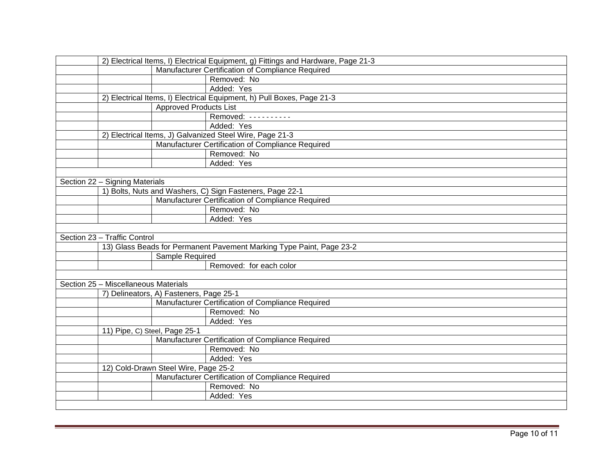| 2) Electrical Items, I) Electrical Equipment, g) Fittings and Hardware, Page 21-3 |  |  |  |
|-----------------------------------------------------------------------------------|--|--|--|
| Manufacturer Certification of Compliance Required                                 |  |  |  |
| Removed: No                                                                       |  |  |  |
| Added: Yes                                                                        |  |  |  |
| 2) Electrical Items, I) Electrical Equipment, h) Pull Boxes, Page 21-3            |  |  |  |
| <b>Approved Products List</b>                                                     |  |  |  |
| Removed: ----------                                                               |  |  |  |
| Added: Yes                                                                        |  |  |  |
| 2) Electrical Items, J) Galvanized Steel Wire, Page 21-3                          |  |  |  |
| Manufacturer Certification of Compliance Required                                 |  |  |  |
| Removed: No                                                                       |  |  |  |
| Added: Yes                                                                        |  |  |  |
|                                                                                   |  |  |  |
| Section 22 - Signing Materials                                                    |  |  |  |
| 1) Bolts, Nuts and Washers, C) Sign Fasteners, Page 22-1                          |  |  |  |
| Manufacturer Certification of Compliance Required                                 |  |  |  |
| Removed: No                                                                       |  |  |  |
| Added: Yes                                                                        |  |  |  |
|                                                                                   |  |  |  |
| Section 23 - Traffic Control                                                      |  |  |  |
| 13) Glass Beads for Permanent Pavement Marking Type Paint, Page 23-2              |  |  |  |
| Sample Required                                                                   |  |  |  |
| Removed: for each color                                                           |  |  |  |
|                                                                                   |  |  |  |
| Section 25 - Miscellaneous Materials                                              |  |  |  |
| 7) Delineators, A) Fasteners, Page 25-1                                           |  |  |  |
| Manufacturer Certification of Compliance Required                                 |  |  |  |
| Removed: No                                                                       |  |  |  |
| Added: Yes                                                                        |  |  |  |
| 11) Pipe, C) Steel, Page 25-1                                                     |  |  |  |
| Manufacturer Certification of Compliance Required                                 |  |  |  |
| Removed: No                                                                       |  |  |  |
| Added: Yes                                                                        |  |  |  |
| 12) Cold-Drawn Steel Wire, Page 25-2                                              |  |  |  |
| Manufacturer Certification of Compliance Required                                 |  |  |  |
| Removed: No                                                                       |  |  |  |
| Added: Yes                                                                        |  |  |  |
|                                                                                   |  |  |  |